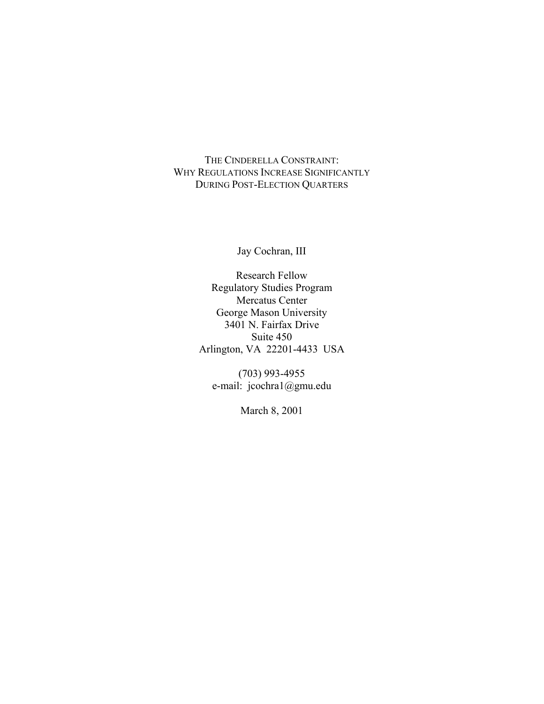THE CINDERELLA CONSTRAINT: WHY REGULATIONS INCREASE SIGNIFICANTLY DURING POST-ELECTION QUARTERS

Jay Cochran, III

Research Fellow Regulatory Studies Program Mercatus Center George Mason University 3401 N. Fairfax Drive Suite 450 Arlington, VA 22201-4433 USA

(703) 993-4955 e-mail: jcochra1@gmu.edu

March 8, 2001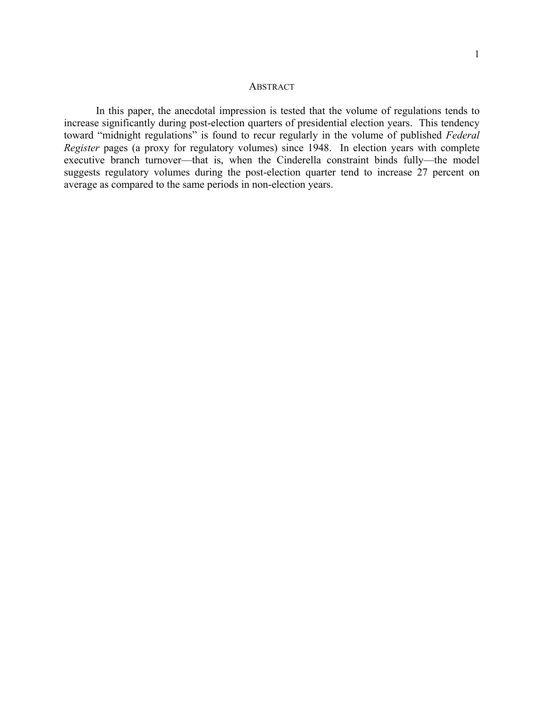#### **ABSTRACT**

In this paper, the anecdotal impression is tested that the volume of regulations tends to increase significantly during post-election quarters of presidential election years. This tendency toward "midnight regulations" is found to recur regularly in the volume of published *Federal Register* pages (a proxy for regulatory volumes) since 1948. In election years with complete executive branch turnover—that is, when the Cinderella constraint binds fully—the model suggests regulatory volumes during the post-election quarter tend to increase 27 percent on average as compared to the same periods in non-election years.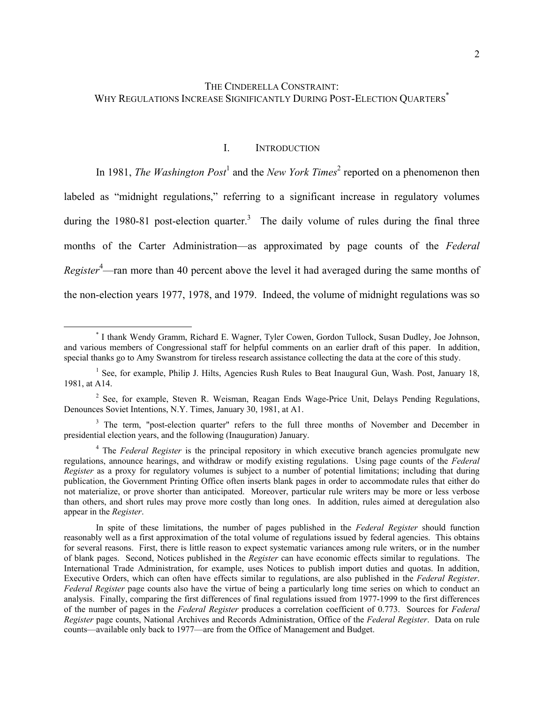### I. INTRODUCTION

In1981, *The Washington Post*<sup>1</sup> and the *New York Times*<sup>2</sup> reported on a phenomenon then labeled as "midnight regulations," referring to a significant increase in regulatory volumes during the 1980-81 post-election quarter.<sup>3</sup> The daily volume of rules during the final three months of the Carter Administration—as approximated by page counts of the *Federal Register*[4](#page-2-4) —ran more than 40 percent above the level it had averaged during the same months of the non-election years 1977, 1978, and 1979. Indeed, the volume of midnight regulations was so

<span id="page-2-0"></span> <sup>\*</sup> I thank Wendy Gramm, Richard E. Wagner, Tyler Cowen, Gordon Tullock, Susan Dudley, Joe Johnson, and various members of Congressional staff for helpful comments on an earlier draft of this paper. In addition, special thanks go to Amy Swanstrom for tireless research assistance collecting the data at the core of this study.

<span id="page-2-1"></span><sup>&</sup>lt;sup>1</sup> See, for example, Philip J. Hilts, Agencies Rush Rules to Beat Inaugural Gun, Wash. Post, January 18, 1981, at A14.

<span id="page-2-2"></span><sup>&</sup>lt;sup>2</sup> See, for example, Steven R. Weisman, Reagan Ends Wage-Price Unit, Delays Pending Regulations, Denounces Soviet Intentions, N.Y. Times, January 30, 1981, at A1.

<span id="page-2-3"></span><sup>&</sup>lt;sup>3</sup> The term, "post-election quarter" refers to the full three months of November and December in presidential election years, and the following (Inauguration) January.

<span id="page-2-4"></span><sup>&</sup>lt;sup>4</sup> The *Federal Register* is the principal repository in which executive branch agencies promulgate new regulations, announce hearings, and withdraw or modify existing regulations. Using page counts of the *Federal Register* as a proxy for regulatory volumes is subject to a number of potential limitations; including that during publication, the Government Printing Office often inserts blank pages in order to accommodate rules that either do not materialize, or prove shorter than anticipated. Moreover, particular rule writers may be more or less verbose than others, and short rules may prove more costly than long ones. In addition, rules aimed at deregulation also appear in the *Register*.

In spite of these limitations, the number of pages published in the *Federal Register* should function reasonably well as a first approximation of the total volume of regulations issued by federal agencies. This obtains for several reasons. First, there is little reason to expect systematic variances among rule writers, or in the number of blank pages. Second, Notices published in the *Register* can have economic effects similar to regulations. The International Trade Administration, for example, uses Notices to publish import duties and quotas. In addition, Executive Orders, which can often have effects similar to regulations, are also published in the *Federal Register*. *Federal Register* page counts also have the virtue of being a particularly long time series on which to conduct an analysis. Finally, comparing the first differences of final regulations issued from 1977-1999 to the first differences of the number of pages in the *Federal Register* produces a correlation coefficient of 0.773. Sources for *Federal Register* page counts, National Archives and Records Administration, Office of the *Federal Register*. Data on rule counts—available only back to 1977—are from the Office of Management and Budget.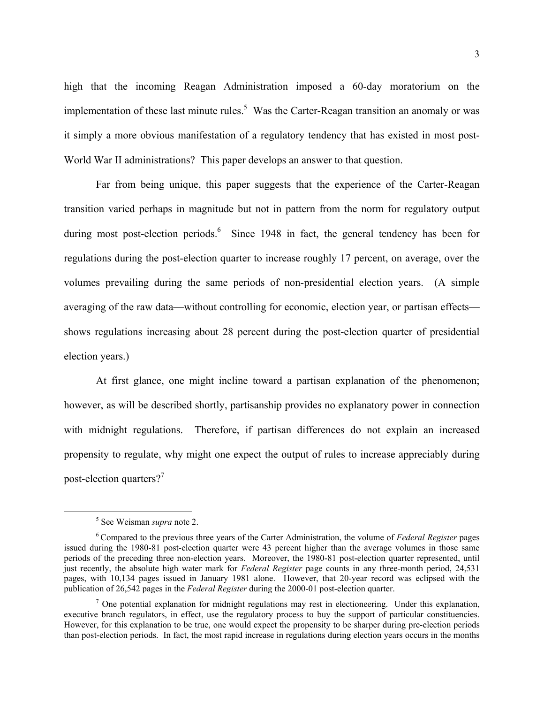<span id="page-3-2"></span>high that the incoming Reagan Administration imposed a 60-day moratorium on the implementation of these last minute rules.<sup>[5](#page-3-0)</sup> Was the Carter-Reagan transition an anomaly or was it simply a more obvious manifestation of a regulatory tendency that has existed in most post-World War II administrations? This paper develops an answer to that question.

Far from being unique, this paper suggests that the experience of the Carter-Reagan transition varied perhaps in magnitude but not in pattern from the norm for regulatory output during most post-election periods.<sup>[6](#page-3-1)</sup> Since 1948 in fact, the general tendency has been for regulations during the post-election quarter to increase roughly 17 percent, on average, over the volumes prevailing during the same periods of non-presidential election years. (A simple averaging of the raw data—without controlling for economic, election year, or partisan effects shows regulations increasing about 28 percent during the post-election quarter of presidential election years.)

At first glance, one might incline toward a partisan explanation of the phenomenon; however, as will be described shortly, partisanship provides no explanatory power in connection with midnight regulations. Therefore, if partisan differences do not explain an increased propensity to regulate, why might one expect the output of rules to increase appreciably during post-election quarters?<sup>[7](#page-3-2)</sup>

<span id="page-3-0"></span> $\frac{1}{5}$ <sup>5</sup> See Weisman *supra* note 2.

<span id="page-3-1"></span><sup>6</sup> Compared to the previous three years of the Carter Administration, the volume of *Federal Register* pages issued during the 1980-81 post-election quarter were 43 percent higher than the average volumes in those same periods of the preceding three non-election years. Moreover, the 1980-81 post-election quarter represented, until just recently, the absolute high water mark for *Federal Register* page counts in any three-month period, 24,531 pages, with 10,134 pages issued in January 1981 alone. However, that 20-year record was eclipsed with the publication of 26,542 pages in the *Federal Register* during the 2000-01 post-election quarter.

 $<sup>7</sup>$  One potential explanation for midnight regulations may rest in electioneering. Under this explanation,</sup> executive branch regulators, in effect, use the regulatory process to buy the support of particular constituencies. However, for this explanation to be true, one would expect the propensity to be sharper during pre-election periods than post-election periods. In fact, the most rapid increase in regulations during election years occurs in the months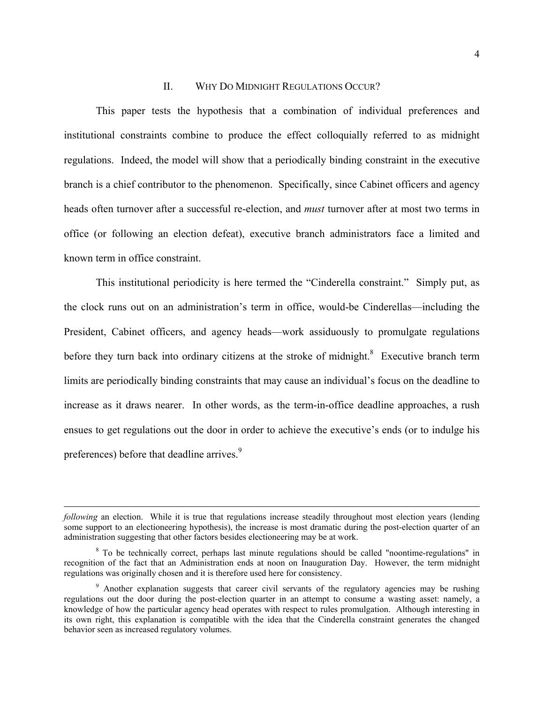### II. WHY DO MIDNIGHT REGULATIONS OCCUR?

This paper tests the hypothesis that a combination of individual preferences and institutional constraints combine to produce the effect colloquially referred to as midnight regulations. Indeed, the model will show that a periodically binding constraint in the executive branch is a chief contributor to the phenomenon. Specifically, since Cabinet officers and agency heads often turnover after a successful re-election, and *must* turnover after at most two terms in office (or following an election defeat), executive branch administrators face a limited and known term in office constraint.

This institutional periodicity is here termed the "Cinderella constraint." Simply put, as the clock runs out on an administration's term in office, would-be Cinderellas—including the President, Cabinet officers, and agency heads—work assiduously to promulgate regulations before they turn back into ordinary citizens at the stroke of midnight. $8$  Executive branch term limits are periodically binding constraints that may cause an individual's focus on the deadline to increase as it draws nearer. In other words, as the term-in-office deadline approaches, a rush ensues to get regulations out the door in order to achieve the executive's ends (or to indulge his preferences) before that deadline arrives.<sup>[9](#page-4-1)</sup>

 $\overline{a}$ 

*following* an election. While it is true that regulations increase steadily throughout most election years (lending some support to an electioneering hypothesis), the increase is most dramatic during the post-election quarter of an administration suggesting that other factors besides electioneering may be at work.

<span id="page-4-0"></span><sup>&</sup>lt;sup>8</sup> To be technically correct, perhaps last minute regulations should be called "noontime-regulations" in recognition of the fact that an Administration ends at noon on Inauguration Day. However, the term midnight regulations was originally chosen and it is therefore used here for consistency.

<span id="page-4-1"></span><sup>&</sup>lt;sup>9</sup> Another explanation suggests that career civil servants of the regulatory agencies may be rushing regulations out the door during the post-election quarter in an attempt to consume a wasting asset: namely, a knowledge of how the particular agency head operates with respect to rules promulgation. Although interesting in its own right, this explanation is compatible with the idea that the Cinderella constraint generates the changed behavior seen as increased regulatory volumes.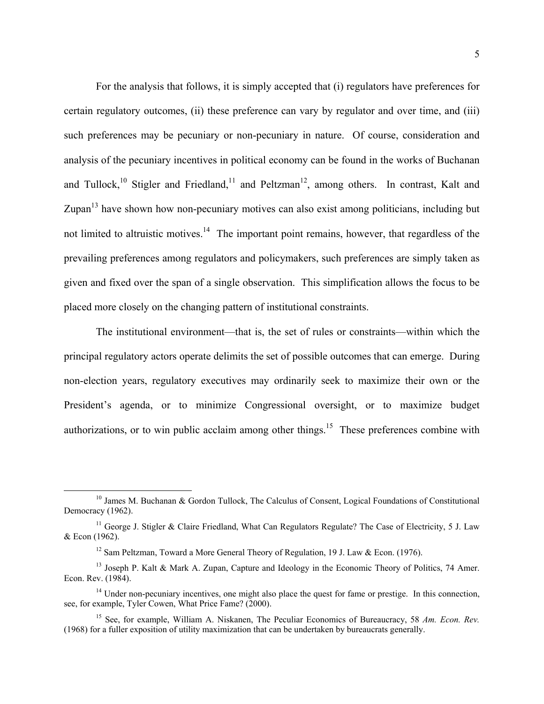For the analysis that follows, it is simply accepted that (i) regulators have preferences for certain regulatory outcomes, (ii) these preference can vary by regulator and over time, and (iii) such preferences may be pecuniary or non-pecuniary in nature. Of course, consideration and analysis of the pecuniary incentives in political economy can be found in the works of Buchanan and Tullock,<sup>10</sup> Stigler and Friedland,<sup>11</sup> and Peltzman<sup>12</sup>, among others. In contrast, Kalt and Zupan $13$  have shown how non-pecuniary motives can also exist among politicians, including but not limited to altruistic motives.<sup>14</sup> The important point remains, however, that regardless of the prevailing preferences among regulators and policymakers, such preferences are simply taken as given and fixed over the span of a single observation. This simplification allows the focus to be placed more closely on the changing pattern of institutional constraints.

The institutional environment—that is, the set of rules or constraints—within which the principal regulatory actors operate delimits the set of possible outcomes that can emerge. During non-election years, regulatory executives may ordinarily seek to maximize their own or the President's agenda, or to minimize Congressional oversight, or to maximize budget authorizations, or to win public acclaim among other things.<sup>15</sup> These preferences combine with

<span id="page-5-0"></span><sup>&</sup>lt;sup>10</sup> James M. Buchanan & Gordon Tullock, The Calculus of Consent, Logical Foundations of Constitutional Democracy (1962).

<sup>&</sup>lt;sup>11</sup> George J. Stigler & Claire Friedland, What Can Regulators Regulate? The Case of Electricity, 5 J. Law & Econ (1962).

<span id="page-5-3"></span><span id="page-5-2"></span><span id="page-5-1"></span><sup>&</sup>lt;sup>12</sup> Sam Peltzman, Toward a More General Theory of Regulation, 19 J. Law & Econ. (1976).

<sup>&</sup>lt;sup>13</sup> Joseph P. Kalt & Mark A. Zupan, Capture and Ideology in the Economic Theory of Politics, 74 Amer. Econ. Rev. (1984).

<span id="page-5-4"></span><sup>&</sup>lt;sup>14</sup> Under non-pecuniary incentives, one might also place the quest for fame or prestige. In this connection, see, for example, Tyler Cowen, What Price Fame? (2000).

<span id="page-5-5"></span><sup>15</sup> See, for example, William A. Niskanen, The Peculiar Economics of Bureaucracy, 58 *Am. Econ. Rev.* (1968) for a fuller exposition of utility maximization that can be undertaken by bureaucrats generally.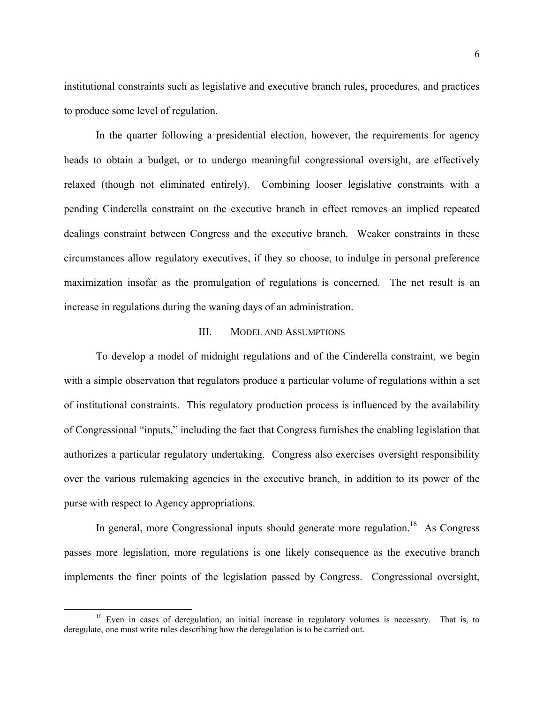institutional constraints such as legislative and executive branch rules, procedures, and practices to produce some level of regulation.

In the quarter following a presidential election, however, the requirements for agency heads to obtain a budget, or to undergo meaningful congressional oversight, are effectively relaxed (though not eliminated entirely). Combining looser legislative constraints with a pending Cinderella constraint on the executive branch in effect removes an implied repeated dealings constraint between Congress and the executive branch. Weaker constraints in these circumstances allow regulatory executives, if they so choose, to indulge in personal preference maximization insofar as the promulgation of regulations is concerned. The net result is an increase in regulations during the waning days of an administration.

### III. MODEL AND ASSUMPTIONS

To develop a model of midnight regulations and of the Cinderella constraint, we begin with a simple observation that regulators produce a particular volume of regulations within a set of institutional constraints. This regulatory production process is influenced by the availability of Congressional "inputs," including the fact that Congress furnishes the enabling legislation that authorizes a particular regulatory undertaking. Congress also exercises oversight responsibility over the various rulemaking agencies in the executive branch, in addition to its power of the purse with respect to Agency appropriations.

In general, more Congressional inputs should generate more regulation.<sup>16</sup> As Congress passes more legislation, more regulations is one likely consequence as the executive branch implements the finer points of the legislation passed by Congress. Congressional oversight,

<span id="page-6-0"></span><sup>&</sup>lt;sup>16</sup> Even in cases of deregulation, an initial increase in regulatory volumes is necessary. That is, to deregulate, one must write rules describing how the deregulation is to be carried out.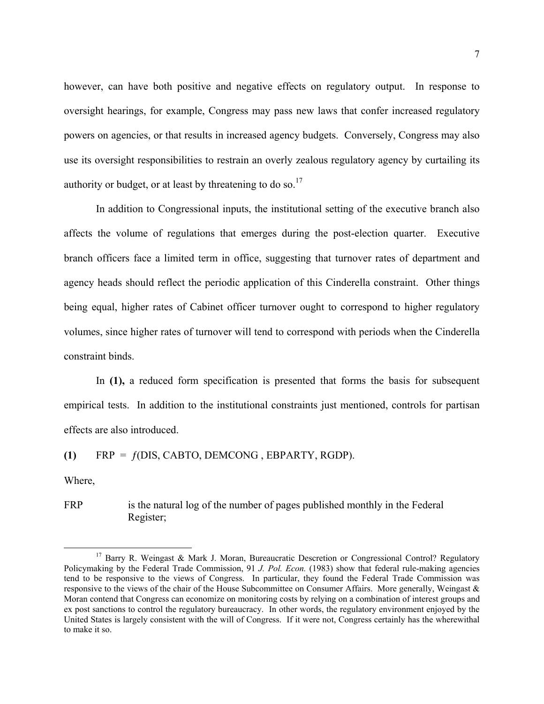however, can have both positive and negative effects on regulatory output. In response to oversight hearings, for example, Congress may pass new laws that confer increased regulatory powers on agencies, or that results in increased agency budgets. Conversely, Congress may also use its oversight responsibilities to restrain an overly zealous regulatory agency by curtailing its authority or budget, or at least by threatening to do so.<sup>17</sup>

In addition to Congressional inputs, the institutional setting of the executive branch also affects the volume of regulations that emerges during the post-election quarter. Executive branch officers face a limited term in office, suggesting that turnover rates of department and agency heads should reflect the periodic application of this Cinderella constraint. Other things being equal, higher rates of Cabinet officer turnover ought to correspond to higher regulatory volumes, since higher rates of turnover will tend to correspond with periods when the Cinderella constraint binds.

In **(1),** a reduced form specification is presented that forms the basis for subsequent empirical tests. In addition to the institutional constraints just mentioned, controls for partisan effects are also introduced.

**(1)** FRP = ƒ(DIS, CABTO, DEMCONG , EBPARTY, RGDP).

Where,

FRP is the natural log of the number of pages published monthly in the Federal Register;

<span id="page-7-0"></span><sup>&</sup>lt;sup>17</sup> Barry R. Weingast & Mark J. Moran, Bureaucratic Descretion or Congressional Control? Regulatory Policymaking by the Federal Trade Commission, 91 *J. Pol. Econ.* (1983) show that federal rule-making agencies tend to be responsive to the views of Congress. In particular, they found the Federal Trade Commission was responsive to the views of the chair of the House Subcommittee on Consumer Affairs. More generally, Weingast & Moran contend that Congress can economize on monitoring costs by relying on a combination of interest groups and ex post sanctions to control the regulatory bureaucracy. In other words, the regulatory environment enjoyed by the United States is largely consistent with the will of Congress. If it were not, Congress certainly has the wherewithal to make it so.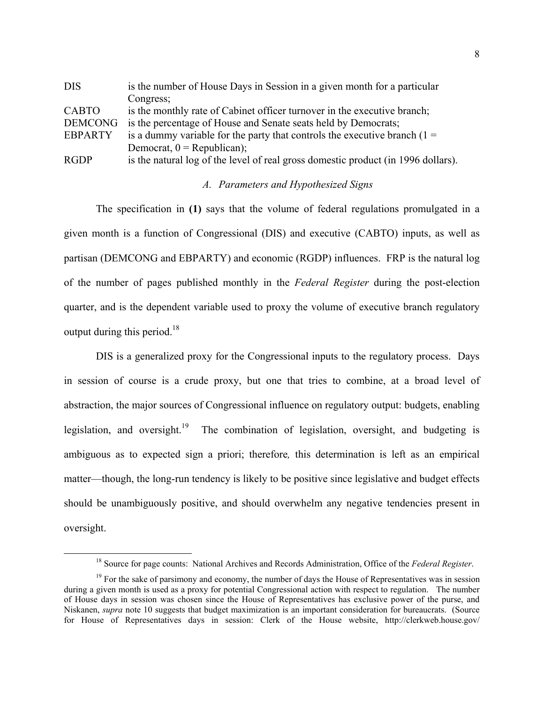<span id="page-8-1"></span>

| <b>DIS</b>     | is the number of House Days in Session in a given month for a particular          |
|----------------|-----------------------------------------------------------------------------------|
|                | Congress;                                                                         |
| <b>CABTO</b>   | is the monthly rate of Cabinet officer turnover in the executive branch;          |
| <b>DEMCONG</b> | is the percentage of House and Senate seats held by Democrats;                    |
| <b>EBPARTY</b> | is a dummy variable for the party that controls the executive branch $(1 =$       |
|                | Democrat, $0 = Republican$ ;                                                      |
| <b>RGDP</b>    | is the natural log of the level of real gross domestic product (in 1996 dollars). |

### *A. Parameters and Hypothesized Signs*

The specification in **(1)** says that the volume of federal regulations promulgated in a given month is a function of Congressional (DIS) and executive (CABTO) inputs, as well as partisan (DEMCONG and EBPARTY) and economic (RGDP) influences. FRP is the natural log of the number of pages published monthly in the *Federal Register* during the post-election quarter, and is the dependent variable used to proxy the volume of executive branch regulatory output during this period.<sup>18</sup>

DIS is a generalized proxy for the Congressional inputs to the regulatory process. Days in session of course is a crude proxy, but one that tries to combine, at a broad level of abstraction, the major sources of Congressional influence on regulatory output: budgets, enabling legislation, and oversight.<sup>19</sup> The combination of legislation, oversight, and budgeting is ambiguous as to expected sign a priori; therefore*,* this determination is left as an empirical matter—though, the long-run tendency is likely to be positive since legislative and budget effects should be unambiguously positive, and should overwhelm any negative tendencies present in oversight.

<span id="page-8-0"></span> <sup>18</sup> Source for page counts: National Archives and Records Administration, Office of the *Federal Register*.

<sup>&</sup>lt;sup>19</sup> For the sake of parsimony and economy, the number of days the House of Representatives was in session during a given month is used as a proxy for potential Congressional action with respect to regulation. The number of House days in session was chosen since the House of Representatives has exclusive power of the purse, and Niskanen, *supra* note 10 suggests that budget maximization is an important consideration for bureaucrats. (Source for House of Representatives days in session: Clerk of the House website, http://clerkweb.house.gov/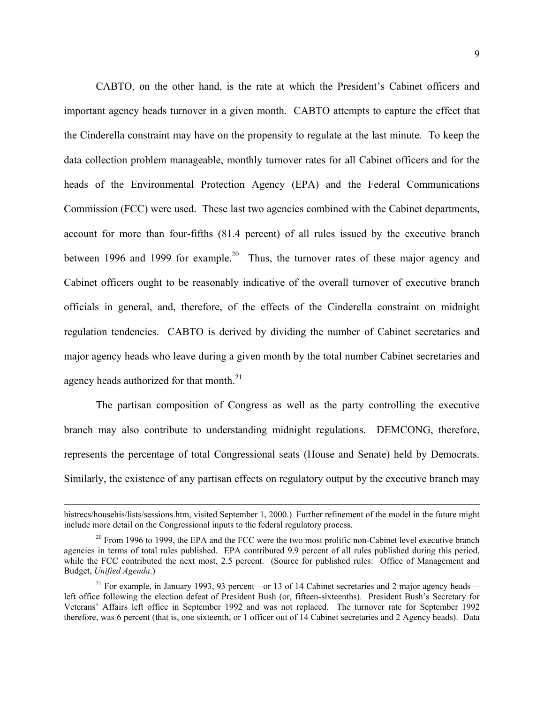<span id="page-9-1"></span>CABTO, on the other hand, is the rate at which the President's Cabinet officers and important agency heads turnover in a given month. CABTO attempts to capture the effect that the Cinderella constraint may have on the propensity to regulate at the last minute. To keep the data collection problem manageable, monthly turnover rates for all Cabinet officers and for the heads of the Environmental Protection Agency (EPA) and the Federal Communications Commission (FCC) were used. These last two agencies combined with the Cabinet departments, account for more than four-fifths (81.4 percent) of all rules issued by the executive branch between 1996 and 1999 for example.<sup>20</sup> Thus, the turnover rates of these major agency and Cabinet officers ought to be reasonably indicative of the overall turnover of executive branch officials in general, and, therefore, of the effects of the Cinderella constraint on midnight regulation tendencies. CABTO is derived by dividing the number of Cabinet secretaries and major agency heads who leave during a given month by the total number Cabinet secretaries and agency heads authorized for that month.<sup>21</sup>

The partisan composition of Congress as well as the party controlling the executive branch may also contribute to understanding midnight regulations. DEMCONG, therefore, represents the percentage of total Congressional seats (House and Senate) held by Democrats. Similarly, the existence of any partisan effects on regulatory output by the executive branch may

histrecs/househis/lists/sessions.htm, visited September 1, 2000.) Further refinement of the model in the future might include more detail on the Congressional inputs to the federal regulatory process.

<span id="page-9-0"></span> $20$  From 1996 to 1999, the EPA and the FCC were the two most prolific non-Cabinet level executive branch agencies in terms of total rules published. EPA contributed 9.9 percent of all rules published during this period, while the FCC contributed the next most, 2.5 percent. (Source for published rules: Office of Management and Budget, *Unified Agenda*.)

<sup>&</sup>lt;sup>21</sup> For example, in January 1993, 93 percent—or 13 of 14 Cabinet secretaries and 2 major agency heads left office following the election defeat of President Bush (or, fifteen-sixteenths). President Bush's Secretary for Veterans' Affairs left office in September 1992 and was not replaced. The turnover rate for September 1992 therefore, was 6 percent (that is, one sixteenth, or 1 officer out of 14 Cabinet secretaries and 2 Agency heads). Data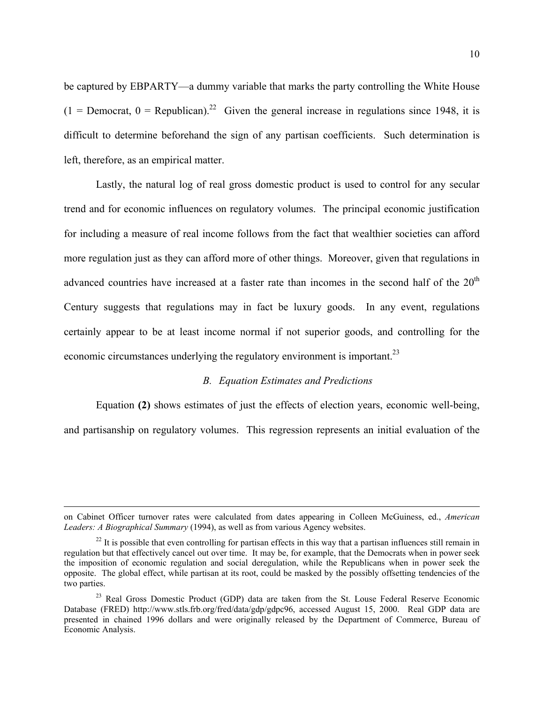be captured by EBPARTY—a dummy variable that marks the party controlling the White House  $(1 =$  Democrat,  $0 =$  Republican).<sup>22</sup> Given the general increase in regulations since 1948, it is difficult to determine beforehand the sign of any partisan coefficients. Such determination is left, therefore, as an empirical matter.

Lastly, the natural log of real gross domestic product is used to control for any secular trend and for economic influences on regulatory volumes. The principal economic justification for including a measure of real income follows from the fact that wealthier societies can afford more regulation just as they can afford more of other things. Moreover, given that regulations in advanced countries have increased at a faster rate than incomes in the second half of the  $20<sup>th</sup>$ Century suggests that regulations may in fact be luxury goods. In any event, regulations certainly appear to be at least income normal if not superior goods, and controlling for the economic circumstances underlying the regulatory environment is important.<sup>23</sup>

### *B. Equation Estimates and Predictions*

Equation **(2)** shows estimates of just the effects of election years, economic well-being, and partisanship on regulatory volumes. This regression represents an initial evaluation of the

on Cabinet Officer turnover rates were calculated from dates appearing in Colleen McGuiness, ed., *American Leaders: A Biographical Summary* (1994), as well as from various Agency websites.

<span id="page-10-0"></span> $22$  It is possible that even controlling for partisan effects in this way that a partisan influences still remain in regulation but that effectively cancel out over time. It may be, for example, that the Democrats when in power seek the imposition of economic regulation and social deregulation, while the Republicans when in power seek the opposite. The global effect, while partisan at its root, could be masked by the possibly offsetting tendencies of the two parties.

<span id="page-10-1"></span><sup>&</sup>lt;sup>23</sup> Real Gross Domestic Product (GDP) data are taken from the St. Louse Federal Reserve Economic Database (FRED) http://www.stls.frb.org/fred/data/gdp/gdpc96, accessed August 15, 2000. Real GDP data are presented in chained 1996 dollars and were originally released by the Department of Commerce, Bureau of Economic Analysis.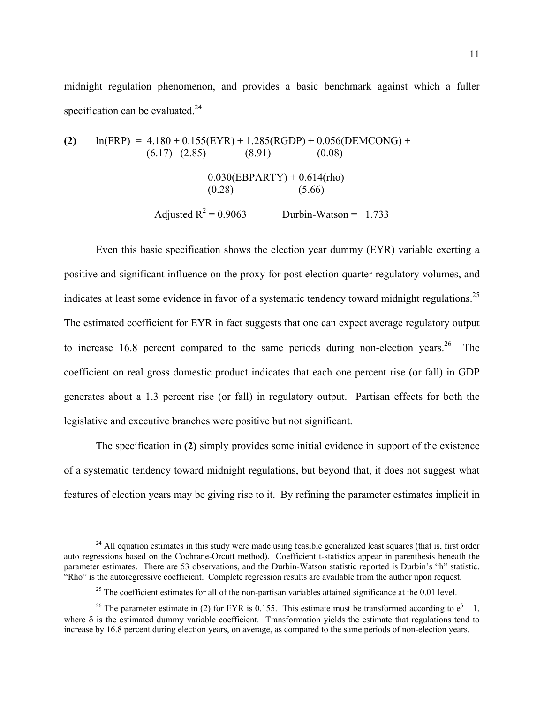midnight regulation phenomenon, and provides a basic benchmark against which a fuller specification can be evaluated. $^{24}$ 

(2) 
$$
\ln(\text{FRP}) = 4.180 + 0.155(\text{EYR}) + 1.285(\text{RGDP}) + 0.056(\text{DEMCONG}) +
$$
  
\n(6.17) (2.85) (8.91) (0.08)  
\n0.030(EBPARTY) + 0.614(rho)  
\n(0.28) (5.66)  
\nAdjusted R<sup>2</sup> = 0.9063 *Durbin-Watson* = -1.733

Even this basic specification shows the election year dummy (EYR) variable exerting a positive and significant influence on the proxy for post-election quarter regulatory volumes, and indicates at least some evidence in favor of a systematic tendency toward midnight regulations.<sup>25</sup> The estimated coefficient for EYR in fact suggests that one can expect average regulatory output to increase  $16.8$  percent compared to the same periods during non-election years.<sup>26</sup> The coefficient on real gross domestic product indicates that each one percent rise (or fall) in GDP generates about a 1.3 percent rise (or fall) in regulatory output. Partisan effects for both the legislative and executive branches were positive but not significant.

The specification in **(2)** simply provides some initial evidence in support of the existence of a systematic tendency toward midnight regulations, but beyond that, it does not suggest what features of election years may be giving rise to it. By refining the parameter estimates implicit in

<span id="page-11-0"></span> $^{24}$  All equation estimates in this study were made using feasible generalized least squares (that is, first order auto regressions based on the Cochrane-Orcutt method). Coefficient t-statistics appear in parenthesis beneath the parameter estimates. There are 53 observations, and the Durbin-Watson statistic reported is Durbin's "h" statistic. "Rho" is the autoregressive coefficient. Complete regression results are available from the author upon request.

<span id="page-11-2"></span><span id="page-11-1"></span><sup>&</sup>lt;sup>25</sup> The coefficient estimates for all of the non-partisan variables attained significance at the  $0.01$  level.

<sup>&</sup>lt;sup>26</sup> The parameter estimate in (2) for EYR is 0.155. This estimate must be transformed according to  $e^{\delta} - 1$ , where  $\delta$  is the estimated dummy variable coefficient. Transformation yields the estimate that regulations tend to increase by 16.8 percent during election years, on average, as compared to the same periods of non-election years.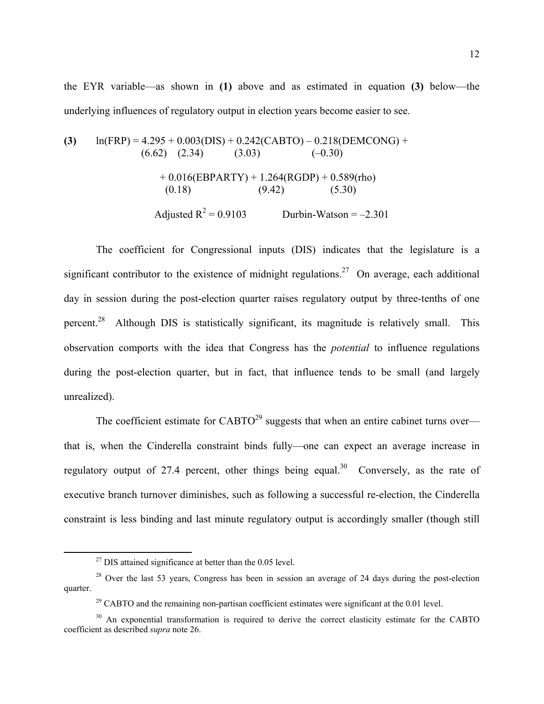the EYR variable—as shown in **(1)** above and as estimated in equation **(3)** below—the underlying influences of regulatory output in election years become easier to see.

(3) 
$$
\ln(\text{FRP}) = 4.295 + 0.003(\text{DIS}) + 0.242(\text{CABTO}) - 0.218(\text{DEMCONG}) + (6.62) (2.34) (3.03) (-0.30)
$$
  
+ 0.016(\text{EBPARTY}) + 1.264(\text{RGDP}) + 0.589(\text{rho}) (0.18) (9.42) (5.30)  
 Adjusted R<sup>2</sup> = 0.9103 Durbin-Watson = -2.301

The coefficient for Congressional inputs (DIS) indicates that the legislature is a significant contributor to the existence of midnight regulations.<sup>27</sup> On average, each additional day in session during the post-election quarter raises regulatory output by three-tenths of one percent.<sup>28</sup> Although DIS is statistically significant, its magnitude is relatively small. This observation comports with the idea that Congress has the *potential* to influence regulations during the post-election quarter, but in fact, that influence tends to be small (and largely unrealized).

The coefficient estimate for  $CABTO^{29}$  suggests that when an entire cabinet turns over that is, when the Cinderella constraint binds fully—one can expect an average increase in regulatory output of 27.4 percent, other things being equal.<sup>30</sup> Conversely, as the rate of executive branch turnover diminishes, such as following a successful re-election, the Cinderella constraint is less binding and last minute regulatory output is accordingly smaller (though still

<span id="page-12-1"></span><span id="page-12-0"></span> $27$  DIS attained significance at better than the 0.05 level.

<sup>&</sup>lt;sup>28</sup> Over the last 53 years, Congress has been in session an average of 24 days during the post-election quarter.

<span id="page-12-3"></span><span id="page-12-2"></span><sup>&</sup>lt;sup>29</sup> CABTO and the remaining non-partisan coefficient estimates were significant at the  $0.01$  level.

<sup>&</sup>lt;sup>30</sup> An exponential transformation is required to derive the correct elasticity estimate for the CABTO coefficient as described *supra* note 26.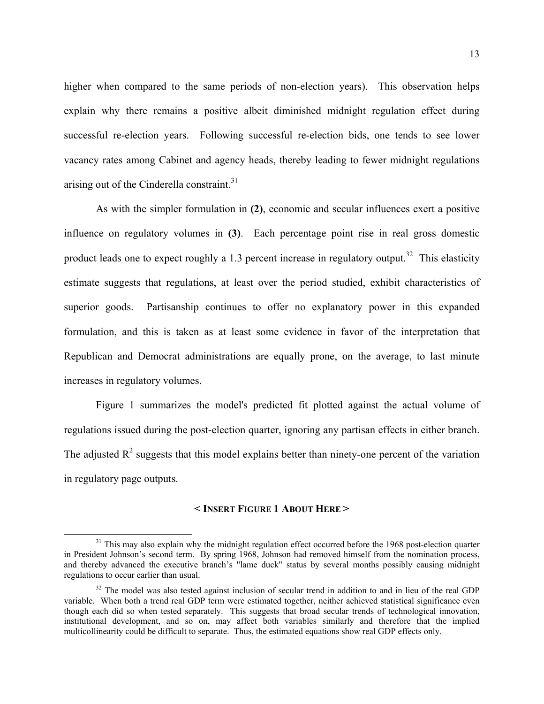higher when compared to the same periods of non-election years). This observation helps explain why there remains a positive albeit diminished midnight regulation effect during successful re-election years. Following successful re-election bids, one tends to see lower vacancy rates among Cabinet and agency heads, thereby leading to fewer midnight regulations arising out of the Cinderella constraint. $31$ 

As with the simpler formulation in **(2)**, economic and secular influences exert a positive influence on regulatory volumes in **(3)**. Each percentage point rise in real gross domestic product leads one to expect roughly a 1.3 percent increase in regulatory output.<sup>32</sup> This elasticity estimate suggests that regulations, at least over the period studied, exhibit characteristics of superior goods. Partisanship continues to offer no explanatory power in this expanded formulation, and this is taken as at least some evidence in favor of the interpretation that Republican and Democrat administrations are equally prone, on the average, to last minute increases in regulatory volumes.

Figure 1 summarizes the model's predicted fit plotted against the actual volume of regulations issued during the post-election quarter, ignoring any partisan effects in either branch. The adjusted  $\mathbb{R}^2$  suggests that this model explains better than ninety-one percent of the variation in regulatory page outputs.

### **< INSERT FIGURE 1 ABOUT HERE >**

<span id="page-13-0"></span><sup>&</sup>lt;sup>31</sup> This may also explain why the midnight regulation effect occurred before the 1968 post-election quarter in President Johnson's second term. By spring 1968, Johnson had removed himself from the nomination process, and thereby advanced the executive branch's "lame duck" status by several months possibly causing midnight regulations to occur earlier than usual.

<span id="page-13-1"></span> $32$  The model was also tested against inclusion of secular trend in addition to and in lieu of the real GDP variable. When both a trend real GDP term were estimated together, neither achieved statistical significance even though each did so when tested separately. This suggests that broad secular trends of technological innovation, institutional development, and so on, may affect both variables similarly and therefore that the implied multicollinearity could be difficult to separate. Thus, the estimated equations show real GDP effects only.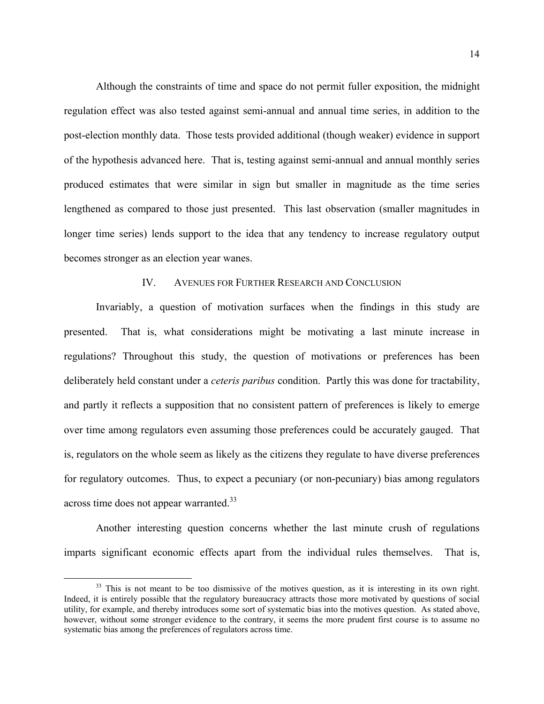Although the constraints of time and space do not permit fuller exposition, the midnight regulation effect was also tested against semi-annual and annual time series, in addition to the post-election monthly data. Those tests provided additional (though weaker) evidence in support of the hypothesis advanced here. That is, testing against semi-annual and annual monthly series produced estimates that were similar in sign but smaller in magnitude as the time series lengthened as compared to those just presented. This last observation (smaller magnitudes in longer time series) lends support to the idea that any tendency to increase regulatory output becomes stronger as an election year wanes.

### IV. AVENUES FOR FURTHER RESEARCH AND CONCLUSION

Invariably, a question of motivation surfaces when the findings in this study are presented. That is, what considerations might be motivating a last minute increase in regulations? Throughout this study, the question of motivations or preferences has been deliberately held constant under a *ceteris paribus* condition. Partly this was done for tractability, and partly it reflects a supposition that no consistent pattern of preferences is likely to emerge over time among regulators even assuming those preferences could be accurately gauged. That is, regulators on the whole seem as likely as the citizens they regulate to have diverse preferences for regulatory outcomes. Thus, to expect a pecuniary (or non-pecuniary) bias among regulators across time does not appear warranted.<sup>33</sup>

Another interesting question concerns whether the last minute crush of regulations imparts significant economic effects apart from the individual rules themselves. That is,

<span id="page-14-0"></span><sup>&</sup>lt;sup>33</sup> This is not meant to be too dismissive of the motives question, as it is interesting in its own right. Indeed, it is entirely possible that the regulatory bureaucracy attracts those more motivated by questions of social utility, for example, and thereby introduces some sort of systematic bias into the motives question. As stated above, however, without some stronger evidence to the contrary, it seems the more prudent first course is to assume no systematic bias among the preferences of regulators across time.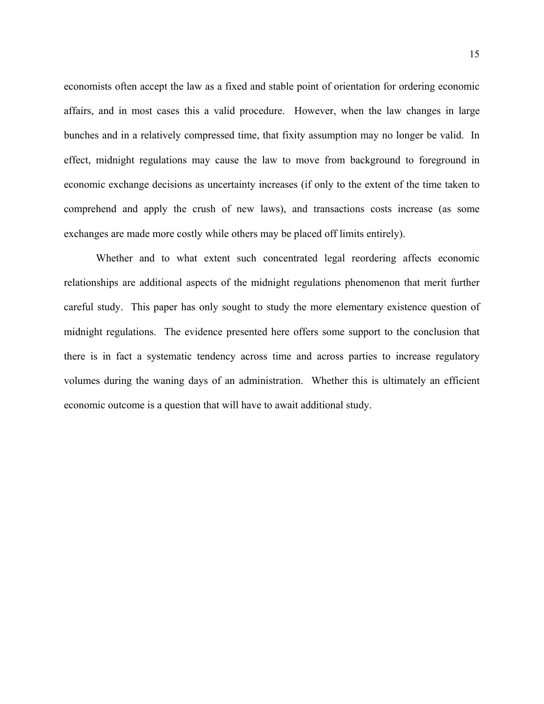economists often accept the law as a fixed and stable point of orientation for ordering economic affairs, and in most cases this a valid procedure. However, when the law changes in large bunches and in a relatively compressed time, that fixity assumption may no longer be valid. In effect, midnight regulations may cause the law to move from background to foreground in economic exchange decisions as uncertainty increases (if only to the extent of the time taken to comprehend and apply the crush of new laws), and transactions costs increase (as some exchanges are made more costly while others may be placed off limits entirely).

Whether and to what extent such concentrated legal reordering affects economic relationships are additional aspects of the midnight regulations phenomenon that merit further careful study. This paper has only sought to study the more elementary existence question of midnight regulations. The evidence presented here offers some support to the conclusion that there is in fact a systematic tendency across time and across parties to increase regulatory volumes during the waning days of an administration. Whether this is ultimately an efficient economic outcome is a question that will have to await additional study.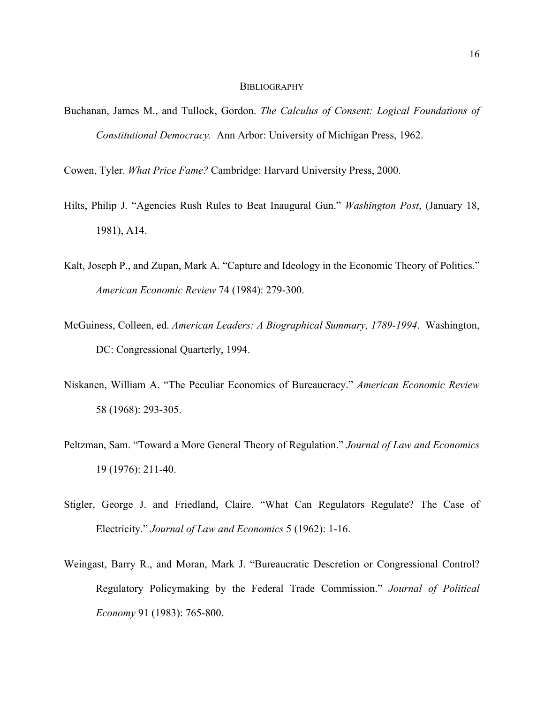#### **BIBLIOGRAPHY**

Buchanan, James M., and Tullock, Gordon. *The Calculus of Consent: Logical Foundations of Constitutional Democracy.* Ann Arbor: University of Michigan Press, 1962.

Cowen, Tyler. *What Price Fame?* Cambridge: Harvard University Press, 2000.

- Hilts, Philip J. "Agencies Rush Rules to Beat Inaugural Gun." *Washington Post*, (January 18, 1981), A14.
- Kalt, Joseph P., and Zupan, Mark A. "Capture and Ideology in the Economic Theory of Politics." *American Economic Review* 74 (1984): 279-300.
- McGuiness, Colleen, ed. *American Leaders: A Biographical Summary, 1789-1994*. Washington, DC: Congressional Quarterly, 1994.
- Niskanen, William A. "The Peculiar Economics of Bureaucracy." *American Economic Review* 58 (1968): 293-305.
- Peltzman, Sam. "Toward a More General Theory of Regulation." *Journal of Law and Economics* 19 (1976): 211-40.
- Stigler, George J. and Friedland, Claire. "What Can Regulators Regulate? The Case of Electricity." *Journal of Law and Economics* 5 (1962): 1-16.
- Weingast, Barry R., and Moran, Mark J. "Bureaucratic Descretion or Congressional Control? Regulatory Policymaking by the Federal Trade Commission." *Journal of Political Economy* 91 (1983): 765-800.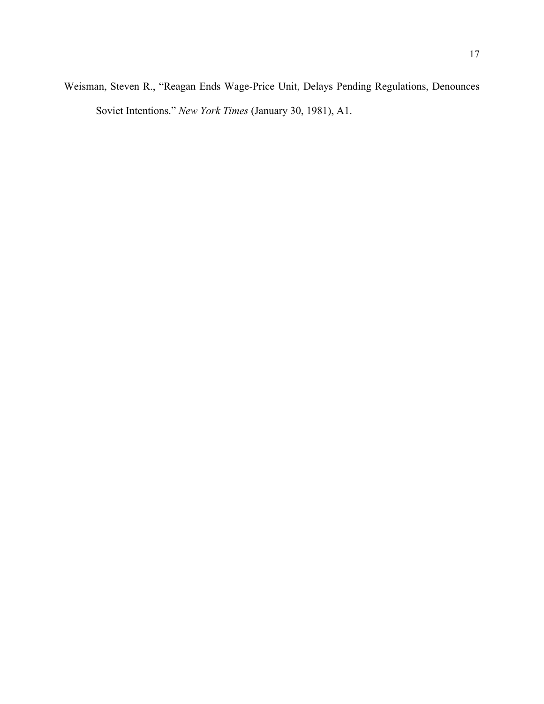Weisman, Steven R., "Reagan Ends Wage-Price Unit, Delays Pending Regulations, Denounces Soviet Intentions." *New York Times* (January 30, 1981), A1.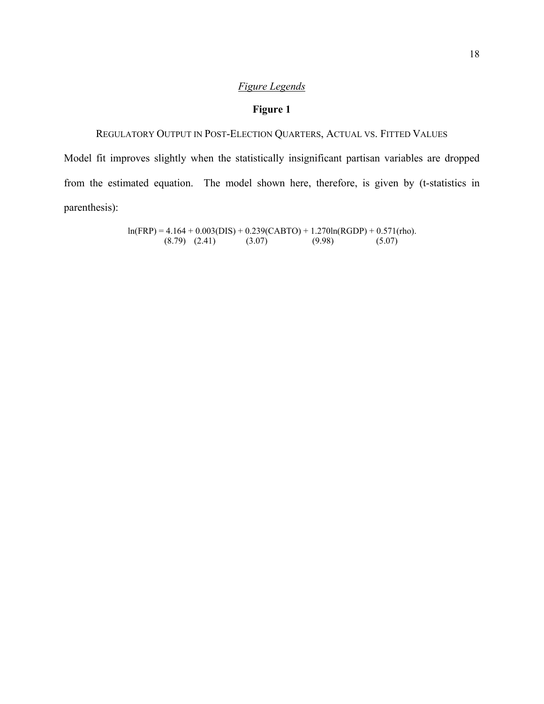## *Figure Legends*

## **Figure 1**

# REGULATORY OUTPUT IN POST-ELECTION QUARTERS, ACTUAL VS. FITTED VALUES

Model fit improves slightly when the statistically insignificant partisan variables are dropped from the estimated equation. The model shown here, therefore, is given by (t-statistics in parenthesis):

> $ln(FRP) = 4.164 + 0.003(DIS) + 0.239(CABTO) + 1.270ln(RGDP) + 0.571(rho).$ <br>(8.79) (2.41) (3.07) (9.98) (5.07)  $(8.79)$   $(2.41)$